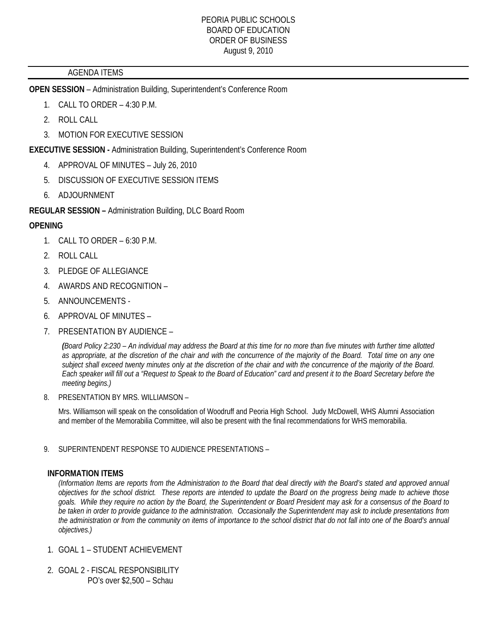### AGENDA ITEMS

**OPEN SESSION** – Administration Building, Superintendent's Conference Room

- 1. CALL TO ORDER 4:30 P.M.
- 2. ROLL CALL
- 3. MOTION FOR EXECUTIVE SESSION

**EXECUTIVE SESSION -** Administration Building, Superintendent's Conference Room

- 4. APPROVAL OF MINUTES July 26, 2010
- 5. DISCUSSION OF EXECUTIVE SESSION ITEMS
- 6. ADJOURNMENT

**REGULAR SESSION –** Administration Building, DLC Board Room

# **OPENING**

- 1 CALL TO ORDER 6:30 P.M.
- 2. ROLL CALL
- 3. PLEDGE OF ALLEGIANCE
- 4. AWARDS AND RECOGNITION –
- 5. ANNOUNCEMENTS -
- 6. APPROVAL OF MINUTES –
- 7. PRESENTATION BY AUDIENCE –

*(Board Policy 2:230 – An individual may address the Board at this time for no more than five minutes with further time allotted as appropriate, at the discretion of the chair and with the concurrence of the majority of the Board. Total time on any one subject shall exceed twenty minutes only at the discretion of the chair and with the concurrence of the majority of the Board. Each speaker will fill out a "Request to Speak to the Board of Education" card and present it to the Board Secretary before the meeting begins.)* 

8. PRESENTATION BY MRS. WILLIAMSON –

Mrs. Williamson will speak on the consolidation of Woodruff and Peoria High School. Judy McDowell, WHS Alumni Association and member of the Memorabilia Committee, will also be present with the final recommendations for WHS memorabilia.

9. SUPERINTENDENT RESPONSE TO AUDIENCE PRESENTATIONS –

## **INFORMATION ITEMS**

*(Information Items are reports from the Administration to the Board that deal directly with the Board's stated and approved annual objectives for the school district. These reports are intended to update the Board on the progress being made to achieve those goals. While they require no action by the Board, the Superintendent or Board President may ask for a consensus of the Board to be taken in order to provide guidance to the administration. Occasionally the Superintendent may ask to include presentations from the administration or from the community on items of importance to the school district that do not fall into one of the Board's annual objectives.)* 

- 1. GOAL 1 STUDENT ACHIEVEMENT
- 2. GOAL 2 FISCAL RESPONSIBILITY PO's over \$2,500 – Schau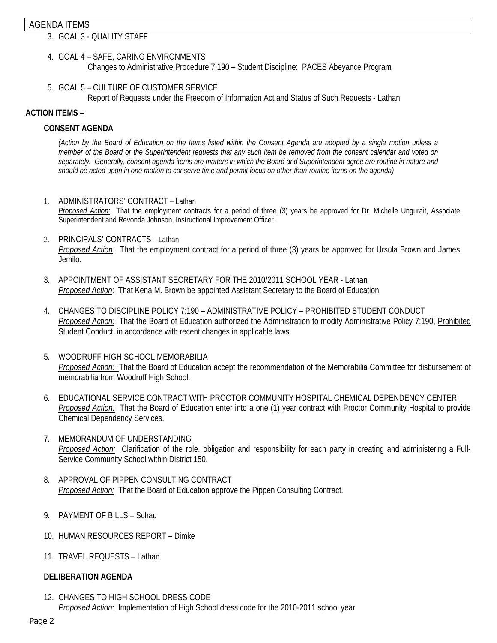### AGENDA ITEMS

- 3. GOAL 3 QUALITY STAFF
- 4. GOAL 4 SAFE, CARING ENVIRONMENTS Changes to Administrative Procedure 7:190 – Student Discipline: PACES Abeyance Program
- 5. GOAL 5 CULTURE OF CUSTOMER SERVICE Report of Requests under the Freedom of Information Act and Status of Such Requests - Lathan

### **ACTION ITEMS –**

### **CONSENT AGENDA**

*(Action by the Board of Education on the Items listed within the Consent Agenda are adopted by a single motion unless a member of the Board or the Superintendent requests that any such item be removed from the consent calendar and voted on separately. Generally, consent agenda items are matters in which the Board and Superintendent agree are routine in nature and should be acted upon in one motion to conserve time and permit focus on other-than-routine items on the agenda)* 

- 1. ADMINISTRATORS' CONTRACT Lathan *Proposed Action:* That the employment contracts for a period of three (3) years be approved for Dr. Michelle Ungurait, Associate Superintendent and Revonda Johnson, Instructional Improvement Officer.
- 2. PRINCIPALS' CONTRACTS Lathan *Proposed Action:* That the employment contract for a period of three (3) years be approved for Ursula Brown and James Jemilo.
- 3. APPOINTMENT OF ASSISTANT SECRETARY FOR THE 2010/2011 SCHOOL YEAR Lathan *Proposed Action*: That Kena M. Brown be appointed Assistant Secretary to the Board of Education.
- 4. CHANGES TO DISCIPLINE POLICY 7:190 ADMINISTRATIVE POLICY PROHIBITED STUDENT CONDUCT *Proposed Action:* That the Board of Education authorized the Administration to modify Administrative Policy 7:190, Prohibited Student Conduct, in accordance with recent changes in applicable laws.
- 5. WOODRUFF HIGH SCHOOL MEMORABILIA *Proposed Action:* That the Board of Education accept the recommendation of the Memorabilia Committee for disbursement of memorabilia from Woodruff High School.
- 6. EDUCATIONAL SERVICE CONTRACT WITH PROCTOR COMMUNITY HOSPITAL CHEMICAL DEPENDENCY CENTER *Proposed Action:* That the Board of Education enter into a one (1) year contract with Proctor Community Hospital to provide Chemical Dependency Services.
- 7. MEMORANDUM OF UNDERSTANDING *Proposed Action:* Clarification of the role, obligation and responsibility for each party in creating and administering a Full-Service Community School within District 150.
- 8. APPROVAL OF PIPPEN CONSULTING CONTRACT *Proposed Action:* That the Board of Education approve the Pippen Consulting Contract.
- 9 PAYMENT OF BILLS Schau
- 10. HUMAN RESOURCES REPORT Dimke
- 11. TRAVEL REQUESTS Lathan

#### **DELIBERATION AGENDA**

12. CHANGES TO HIGH SCHOOL DRESS CODE *Proposed Action:* Implementation of High School dress code for the 2010-2011 school year.